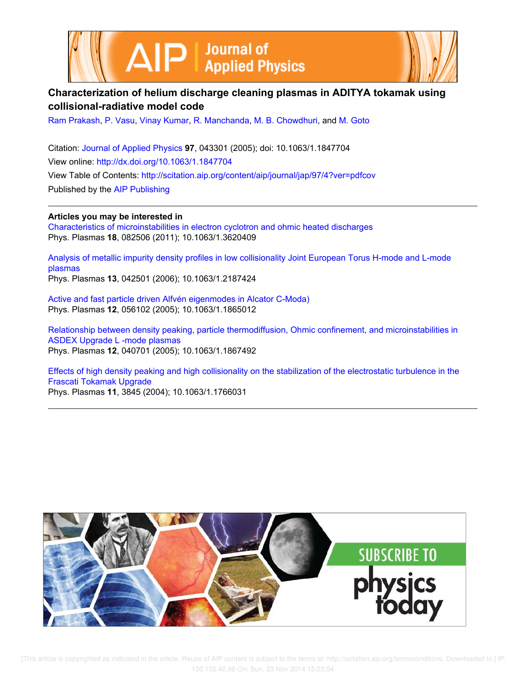



# **Characterization of helium discharge cleaning plasmas in ADITYA tokamak using collisional-radiative model code**

Ram Prakash, P. Vasu, Vinay Kumar, R. Manchanda, M. B. Chowdhuri, and M. Goto

Citation: Journal of Applied Physics **97**, 043301 (2005); doi: 10.1063/1.1847704 View online: http://dx.doi.org/10.1063/1.1847704 View Table of Contents: http://scitation.aip.org/content/aip/journal/jap/97/4?ver=pdfcov Published by the AIP Publishing

**Articles you may be interested in** Characteristics of microinstabilities in electron cyclotron and ohmic heated discharges Phys. Plasmas **18**, 082506 (2011); 10.1063/1.3620409

Analysis of metallic impurity density profiles in low collisionality Joint European Torus H-mode and L-mode plasmas Phys. Plasmas **13**, 042501 (2006); 10.1063/1.2187424

Active and fast particle driven Alfvén eigenmodes in Alcator C-Moda) Phys. Plasmas **12**, 056102 (2005); 10.1063/1.1865012

Relationship between density peaking, particle thermodiffusion, Ohmic confinement, and microinstabilities in ASDEX Upgrade L -mode plasmas Phys. Plasmas **12**, 040701 (2005); 10.1063/1.1867492

Effects of high density peaking and high collisionality on the stabilization of the electrostatic turbulence in the Frascati Tokamak Upgrade Phys. Plasmas **11**, 3845 (2004); 10.1063/1.1766031

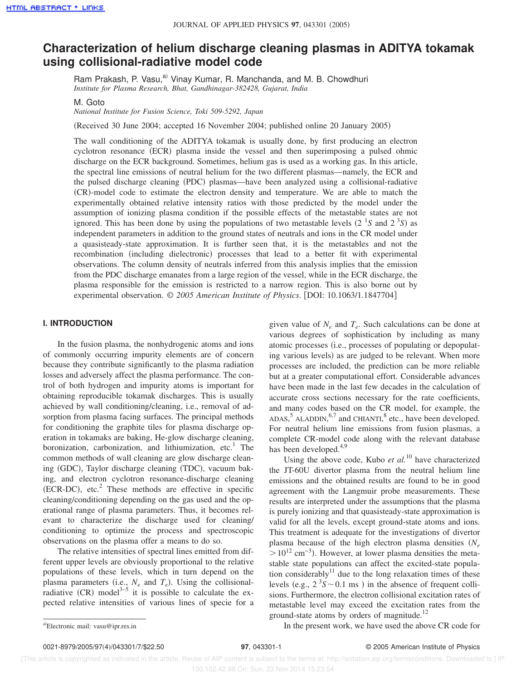# **Characterization of helium discharge cleaning plasmas in ADITYA tokamak using collisional-radiative model code**

Ram Prakash, P. Vasu,<sup>a)</sup> Vinay Kumar, R. Manchanda, and M. B. Chowdhuri *Institute for Plasma Research, Bhat, Gandhinagar-382428, Gujarat, India*

M. Goto

*National Institute for Fusion Science, Toki 509-5292, Japan*

(Received 30 June 2004; accepted 16 November 2004; published online 20 January 2005)

The wall conditioning of the ADITYA tokamak is usually done, by first producing an electron cyclotron resonance (ECR) plasma inside the vessel and then superimposing a pulsed ohmic discharge on the ECR background. Sometimes, helium gas is used as a working gas. In this article, the spectral line emissions of neutral helium for the two different plasmas—namely, the ECR and the pulsed discharge cleaning (PDC) plasmas—have been analyzed using a collisional-radiative sCRd-model code to estimate the electron density and temperature. We are able to match the experimentally obtained relative intensity ratios with those predicted by the model under the assumption of ionizing plasma condition if the possible effects of the metastable states are not ignored. This has been done by using the populations of two metastable levels  $(2<sup>1</sup>S$  and  $2<sup>3</sup>S)$  as independent parameters in addition to the ground states of neutrals and ions in the CR model under a quasisteady-state approximation. It is further seen that, it is the metastables and not the recombination (including dielectronic) processes that lead to a better fit with experimental observations. The column density of neutrals inferred from this analysis implies that the emission from the PDC discharge emanates from a large region of the vessel, while in the ECR discharge, the plasma responsible for the emission is restricted to a narrow region. This is also borne out by experimental observation. © *2005 American Institute of Physics*. fDOI: 10.1063/1.1847704g

### **I. INTRODUCTION**

In the fusion plasma, the nonhydrogenic atoms and ions of commonly occurring impurity elements are of concern because they contribute significantly to the plasma radiation losses and adversely affect the plasma performance. The control of both hydrogen and impurity atoms is important for obtaining reproducible tokamak discharges. This is usually achieved by wall conditioning/cleaning, i.e., removal of adsorption from plasma facing surfaces. The principal methods for conditioning the graphite tiles for plasma discharge operation in tokamaks are baking, He-glow discharge cleaning, boronization, carbonization, and lithiumization, etc.<sup>1</sup> The common methods of wall cleaning are glow discharge cleaning (GDC), Taylor discharge cleaning (TDC), vacuum baking, and electron cyclotron resonance-discharge cleaning  $(ECR-DC)$ , etc.<sup>2</sup> These methods are effective in specific cleaning/conditioning depending on the gas used and the operational range of plasma parameters. Thus, it becomes relevant to characterize the discharge used for cleaning/ conditioning to optimize the process and spectroscopic observations on the plasma offer a means to do so.

The relative intensities of spectral lines emitted from different upper levels are obviously proportional to the relative populations of these levels, which in turn depend on the plasma parameters (i.e.,  $N_e$  and  $T_e$ ). Using the collisionalradiative  $(CR)$  model<sup>3–5</sup> it is possible to calculate the expected relative intensities of various lines of specie for a

given value of  $N_e$  and  $T_e$ . Such calculations can be done at various degrees of sophistication by including as many atomic processes (i.e., processes of populating or depopulating various levels) as are judged to be relevant. When more processes are included, the prediction can be more reliable but at a greater computational effort. Considerable advances have been made in the last few decades in the calculation of accurate cross sections necessary for the rate coefficients, and many codes based on the CR model, for example, the  $ADAS$ ,  $5$  ALADDIN,  $6.7$  and CHIANTI, $8$  etc., have been developed. For neutral helium line emissions from fusion plasmas, a complete CR-model code along with the relevant database has been developed.<sup>4,9</sup>

Using the above code, Kubo *et al.*<sup>10</sup> have characterized the JT-60U divertor plasma from the neutral helium line emissions and the obtained results are found to be in good agreement with the Langmuir probe measurements. These results are interpreted under the assumptions that the plasma is purely ionizing and that quasisteady-state approximation is valid for all the levels, except ground-state atoms and ions. This treatment is adequate for the investigations of divertor plasma because of the high electron plasma densities  $(N_e)$  $>10^{12}$  cm<sup>-3</sup>). However, at lower plasma densities the metastable state populations can affect the excited-state population considerably<sup>11</sup> due to the long relaxation times of these levels (e.g.,  $2 \times 3S$   $\sim$  0.1 ms) in the absence of frequent collisions. Furthermore, the electron collisional excitation rates of metastable level may exceed the excitation rates from the ground-state atoms by orders of magnitude.<sup>12</sup>

In the present work, we have used the above CR code for

Electronic mail: vasu@ipr.res.in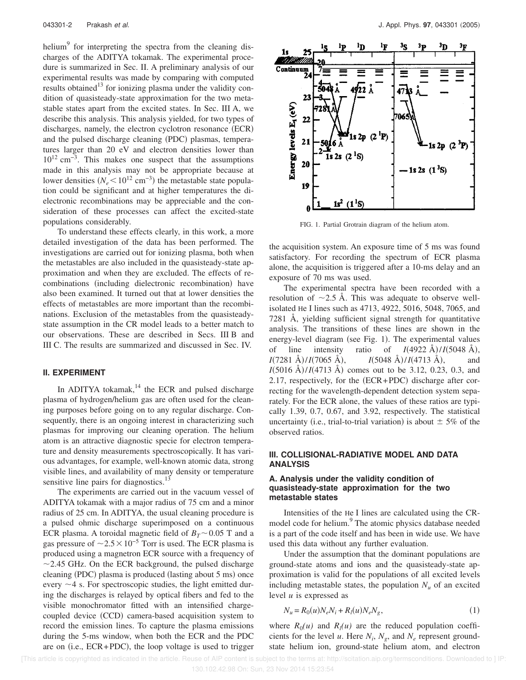helium<sup>9</sup> for interpreting the spectra from the cleaning discharges of the ADITYA tokamak. The experimental procedure is summarized in Sec. II. A preliminary analysis of our experimental results was made by comparing with computed results obtained $13$  for ionizing plasma under the validity condition of quasisteady-state approximation for the two metastable states apart from the excited states. In Sec. III A, we describe this analysis. This analysis yielded, for two types of discharges, namely, the electron cyclotron resonance (ECR) and the pulsed discharge cleaning (PDC) plasmas, temperatures larger than 20 eV and electron densities lower than 10<sup>12</sup> cm−3. This makes one suspect that the assumptions made in this analysis may not be appropriate because at lower densities  $(N_e < 10^{12} \text{ cm}^{-3})$  the metastable state population could be significant and at higher temperatures the dielectronic recombinations may be appreciable and the consideration of these processes can affect the excited-state populations considerably.

To understand these effects clearly, in this work, a more detailed investigation of the data has been performed. The investigations are carried out for ionizing plasma, both when the metastables are also included in the quasisteady-state approximation and when they are excluded. The effects of recombinations (including dielectronic recombination) have also been examined. It turned out that at lower densities the effects of metastables are more important than the recombinations. Exclusion of the metastables from the quasisteadystate assumption in the CR model leads to a better match to our observations. These are described in Secs. III B and III C. The results are summarized and discussed in Sec. IV.

## **II. EXPERIMENT**

In ADITYA tokamak, $14$  the ECR and pulsed discharge plasma of hydrogen/helium gas are often used for the cleaning purposes before going on to any regular discharge. Consequently, there is an ongoing interest in characterizing such plasmas for improving our cleaning operation. The helium atom is an attractive diagnostic specie for electron temperature and density measurements spectroscopically. It has various advantages, for example, well-known atomic data, strong visible lines, and availability of many density or temperature sensitive line pairs for diagnostics.<sup>1</sup>

The experiments are carried out in the vacuum vessel of ADITYA tokamak with a major radius of 75 cm and a minor radius of 25 cm. In ADITYA, the usual cleaning procedure is a pulsed ohmic discharge superimposed on a continuous ECR plasma. A toroidal magnetic field of  $B_T \sim 0.05$  T and a gas pressure of  $\sim$ 2.5 $\times$ 10<sup>-5</sup> Torr is used. The ECR plasma is produced using a magnetron ECR source with a frequency of  $\sim$ 2.45 GHz. On the ECR background, the pulsed discharge cleaning (PDC) plasma is produced (lasting about  $5 \text{ ms}$ ) once every  $\sim$  4 s. For spectroscopic studies, the light emitted during the discharges is relayed by optical fibers and fed to the visible monochromator fitted with an intensified chargecoupled device (CCD) camera-based acquisition system to record the emission lines. To capture the plasma emissions during the 5-ms window, when both the ECR and the PDC are on (i.e.,  $ECR+PDC$ ), the loop voltage is used to trigger



FIG. 1. Partial Grotrain diagram of the helium atom.

the acquisition system. An exposure time of 5 ms was found satisfactory. For recording the spectrum of ECR plasma alone, the acquisition is triggered after a 10-ms delay and an exposure of 70 ms was used.

The experimental spectra have been recorded with a resolution of  $\sim$ 2.5 Å. This was adequate to observe wellisolated He I lines such as 4713, 4922, 5016, 5048, 7065, and 7281 Å, yielding sufficient signal strength for quantitative analysis. The transitions of these lines are shown in the energy-level diagram (see Fig. 1). The experimental values of line intensity ratio of  $I(4922 \text{ Å})/I(5048 \text{ Å})$ ,  $I(7281 \text{ Å})/I(7065 \text{ Å})$ ,  $I(5048 \text{ Å})/I(4713 \text{ Å})$ , and  $I(5016 \text{ Å})/I(4713 \text{ Å})$  comes out to be 3.12, 0.23, 0.3, and 2.17, respectively, for the  $(ECR+PDC)$  discharge after correcting for the wavelength-dependent detection system separately. For the ECR alone, the values of these ratios are typically 1.39, 0.7, 0.67, and 3.92, respectively. The statistical uncertainty (i.e., trial-to-trial variation) is about  $\pm$  5% of the observed ratios.

# **III. COLLISIONAL-RADIATIVE MODEL AND DATA ANALYSIS**

## **A. Analysis under the validity condition of quasisteady-state approximation for the two metastable states**

Intensities of the He I lines are calculated using the CRmodel code for helium.<sup>9</sup> The atomic physics database needed is a part of the code itself and has been in wide use. We have used this data without any further evaluation.

Under the assumption that the dominant populations are ground-state atoms and ions and the quasisteady-state approximation is valid for the populations of all excited levels including metastable states, the population  $N<sub>u</sub>$  of an excited level *u* is expressed as

$$
N_u = R_0(u)N_eN_i + R_l(u)N_eN_g,
$$
\n(1)

where  $R_0(u)$  and  $R_l(u)$  are the reduced population coefficients for the level *u*. Here  $N_i$ ,  $N_g$ , and  $N_e$  represent groundstate helium ion, ground-state helium atom, and electron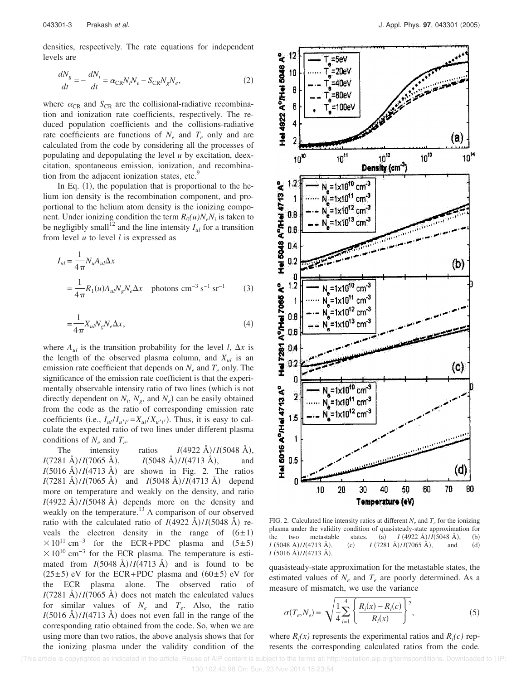densities, respectively. The rate equations for independent levels are

$$
\frac{dN_g}{dt} = -\frac{dN_i}{dt} = \alpha_{\text{CR}} N_i N_e - S_{\text{CR}} N_g N_e,\tag{2}
$$

where  $\alpha_{CR}$  and  $S_{CR}$  are the collisional-radiative recombination and ionization rate coefficients, respectively. The reduced population coefficients and the collisions-radiative rate coefficients are functions of  $N_e$  and  $T_e$  only and are calculated from the code by considering all the processes of populating and depopulating the level *u* by excitation, deexcitation, spontaneous emission, ionization, and recombination from the adjacent ionization states, etc.<sup>9</sup>

In Eq.  $(1)$ , the population that is proportional to the helium ion density is the recombination component, and proportional to the helium atom density is the ionizing component. Under ionizing condition the term  $R_0(u)N_eN_i$  is taken to be negligibly small<sup>12</sup> and the line intensity  $I_{\mu}$  for a transition from level *u* to level *l* is expressed as

$$
I_{ul} = \frac{1}{4\pi} N_u A_{ul} \Delta x
$$
  
= 
$$
\frac{1}{4\pi} R_1(u) A_{ul} N_g N_e \Delta x
$$
 photons cm<sup>-3</sup> s<sup>-1</sup> sr<sup>-1</sup> (3)

$$
=\frac{1}{4\pi}X_{ul}N_gN_e\Delta x,\tag{4}
$$

where  $A_{ul}$  is the transition probability for the level *l*,  $\Delta x$  is the length of the observed plasma column, and *Xul* is an emission rate coefficient that depends on *N<sup>e</sup>* and *T<sup>e</sup>* only. The significance of the emission rate coefficient is that the experimentally observable intensity ratio of two lines (which is not directly dependent on  $N_i$ ,  $N_g$ , and  $N_e$ ) can be easily obtained from the code as the ratio of corresponding emission rate coefficients (i.e.,  $I_{ul}/I_{u'l'} = X_{ul}/X_{u'l'}$ ). Thus, it is easy to calculate the expected ratio of two lines under different plasma conditions of  $N_e$  and  $T_e$ .

The intensity ratios  $I(4922 \text{ Å})/I(5048 \text{ Å})$ ,  $I(7281 \text{ Å})/I(7065 \text{ Å})$ ,  $I(5048 \text{ Å})/I(4713 \text{ Å})$ , and  $I(5016 \text{ Å})/I(4713 \text{ Å})$  are shown in Fig. 2. The ratios  $I(7281 \text{ Å})/I(7065 \text{ Å})$  and  $I(5048 \text{ Å})/I(4713 \text{ Å})$  depend more on temperature and weakly on the density, and ratio  $I(4922 \text{ Å})/I(5048 \text{ Å})$  depends more on the density and weakly on the temperature.<sup>13</sup> A comparison of our observed ratio with the calculated ratio of  $I(4922 \text{ Å})/I(5048 \text{ Å})$  reveals the electron density in the range of  $(6±1)$  $\times 10^{11}$  cm<sup>-3</sup> for the ECR+PDC plasma and (5±5)  $\times$ 10<sup>10</sup> cm<sup>-3</sup> for the ECR plasma. The temperature is estimated from  $I(5048 \text{ Å})/I(4713 \text{ Å})$  and is found to be  $(25±5)$  eV for the ECR+PDC plasma and  $(60±5)$  eV for the ECR plasma alone. The observed ratio of  $I(7281 \text{ Å})/I(7065 \text{ Å})$  does not match the calculated values for similar values of  $N_e$  and  $T_e$ . Also, the ratio  $I(5016 \text{ Å})/I(4713 \text{ Å})$  does not even fall in the range of the corresponding ratio obtained from the code. So, when we are using more than two ratios, the above analysis shows that for the ionizing plasma under the validity condition of the



FIG. 2. Calculated line intensity ratios at different  $N_e$  and  $T_e$  for the ionizing plasma under the validity condition of quasisteady-state approximation for the two metastable states. (a)  $I(4922 \text{ Å})/I(5048 \text{ Å})$ , (b)  $I(5048 \text{ Å})/I(4713 \text{ Å})$ , (c)  $I(7281 \text{ Å})/I(7065 \text{ Å})$ , and (d)  $I$  (5016 Å)/*I*(4713 Å).

quasisteady-state approximation for the metastable states, the estimated values of  $N_e$  and  $T_e$  are poorly determined. As a measure of mismatch, we use the variance

$$
\sigma(T_e, N_e) = \sqrt{\frac{1}{4} \sum_{i=1}^{4} \left\{ \frac{R_i(x) - R_i(c)}{R_i(x)} \right\}^2},
$$
\n(5)

where  $R_i(x)$  represents the experimental ratios and  $R_i(c)$  represents the corresponding calculated ratios from the code.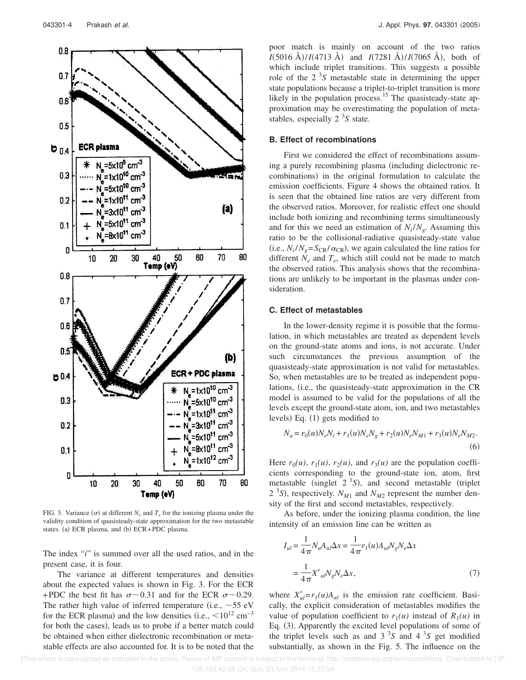

FIG. 3. Variance  $(\sigma)$  at different  $N_e$  and  $T_e$  for the ionizing plasma under the validity condition of quasisteady-state approximation for the two metastable states. (a) ECR plasma, and (b)  $ECR+PDC$  plasma.

The index "*i*" is summed over all the used ratios, and in the present case, it is four.

The variance at different temperatures and densities about the expected values is shown in Fig. 3. For the ECR +PDC the best fit has  $\sigma \sim 0.31$  and for the ECR  $\sigma \sim 0.29$ . The rather high value of inferred temperature (i.e.,  $\sim$  55 eV for the ECR plasma) and the low densities (i.e.,  $\rm{<}10^{12} \text{ cm}^{-3}$ for both the cases), leads us to probe if a better match could be obtained when either dielectronic recombination or metastable effects are also accounted for. It is to be noted that the

poor match is mainly on account of the two ratios *I*(5016 Å)/*I*(4713 Å) and *I*(7281 Å)/*I*(7065 Å), both of which include triplet transitions. This suggests a possible role of the  $2<sup>3</sup>S$  metastable state in determining the upper state populations because a triplet-to-triplet transition is more likely in the population process.<sup>15</sup> The quasisteady-state approximation may be overestimating the population of metastables, especially 2<sup>3</sup>S state.

### **B. Effect of recombinations**

First we considered the effect of recombinations assuming a purely recombining plasma (including dielectronic recombinations) in the original formulation to calculate the emission coefficients. Figure 4 shows the obtained ratios. It is seen that the obtained line ratios are very different from the observed ratios. Moreover, for realistic effect one should include both ionizing and recombining terms simultaneously and for this we need an estimation of  $N_i/N_g$ . Assuming this ratio to be the collisional-radiative quasisteady-state value (i.e.,  $N_i/N_g = S_{CR}/\alpha_{CR}$ ), we again calculated the line ratios for different  $N_e$  and  $T_e$ , which still could not be made to match the observed ratios. This analysis shows that the recombinations are unlikely to be important in the plasmas under consideration.

### **C. Effect of metastables**

In the lower-density regime it is possible that the formulation, in which metastables are treated as dependent levels on the ground-state atoms and ions, is not accurate. Under such circumstances the previous assumption of the quasisteady-state approximation is not valid for metastables. So, when metastables are to be treated as independent populations, (i.e., the quasisteady-state approximation in the CR model is assumed to be valid for the populations of all the levels except the ground-state atom, ion, and two metastables levels) Eq.  $(1)$  gets modified to

$$
N_u = r_0(u)N_eN_i + r_1(u)N_eN_g + r_2(u)N_eN_{M1} + r_3(u)N_eN_{M2}.
$$
\n(6)

Here  $r_0(u)$ ,  $r_1(u)$ ,  $r_2(u)$ , and  $r_3(u)$  are the population coefficients corresponding to the ground-state ion, atom, first metastable (singlet  $2<sup>1</sup>S$ ), and second metastable (triplet  $2^{3}S$ ), respectively.  $N_{M1}$  and  $N_{M2}$  represent the number density of the first and second metastables, respectively.

As before, under the ionizing plasma condition, the line intensity of an emission line can be written as

$$
I_{ul} = \frac{1}{4\pi} N_u A_{ul} \Delta x = \frac{1}{4\pi} r_1(u) A_{ul} N_g N_e \Delta x
$$

$$
= \frac{1}{4\pi} X'_{ul} N_g N_e \Delta x,
$$
(7)

where  $X'_{ul} = r_1(u)A_{ul}$  is the emission rate coefficient. Basically, the explicit consideration of metastables modifies the value of population coefficient to  $r_1(u)$  instead of  $R_1(u)$  in Eq.  $(3)$ . Apparently the excited level populations of some of the triplet levels such as and  $3^{3}S$  and  $4^{3}S$  get modified substantially, as shown in the Fig. 5. The influence on the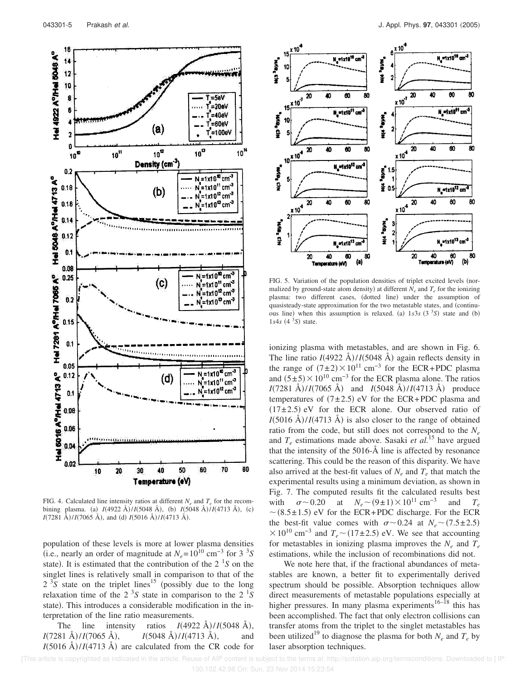

FIG. 4. Calculated line intensity ratios at different  $N_e$  and  $T_e$  for the recombining plasma. (a)  $I(4922 \text{ Å})/I(5048 \text{ Å})$ , (b)  $I(5048 \text{ Å})/I(4713 \text{ Å})$ , (c)  $I(7281 \text{ Å})/I(7065 \text{ Å})$ , and (d)  $I(5016 \text{ Å})/I(4713 \text{ Å})$ .

population of these levels is more at lower plasma densities (i.e., nearly an order of magnitude at  $N_e = 10^{10}$  cm<sup>-3</sup> for 3<sup>3</sup>S state). It is estimated that the contribution of the  $2<sup>1</sup>S$  on the singlet lines is relatively small in comparison to that of the  $2^{3}$ S state on the triplet lines<sup>15</sup> (possibly due to the long relaxation time of the  $2<sup>3</sup>S$  state in comparison to the  $2<sup>1</sup>S$ state). This introduces a considerable modification in the interpretation of the line ratio measurements.

The line intensity ratios  $I(4922 \text{ Å})/I(5048 \text{ Å})$ ,  $I(7281 \text{ Å})/I(7065 \text{ Å})$ ,  $I(5048 \text{ Å})/I(4713 \text{ Å})$ , and  $I(5016 \text{ Å})/I(4713 \text{ Å})$  are calculated from the CR code for



FIG. 5. Variation of the population densities of triplet excited levels (normalized by ground-state atom density) at different  $N_e$  and  $T_e$  for the ionizing plasma: two different cases, (dotted line) under the assumption of quasisteady-state approximation for the two metastable states, and (continuous line) when this assumption is relaxed. (a)  $1s3s$  ( $3<sup>3</sup>S$ ) state and (b)  $1s4s$  (4 $3s$ ) state.

ionizing plasma with metastables, and are shown in Fig. 6. The line ratio  $I(4922 \text{ Å})/I(5048 \text{ Å})$  again reflects density in the range of  $(7±2) \times 10^{11}$  cm<sup>-3</sup> for the ECR+PDC plasma and  $(5±5)\times10^{10}$  cm<sup>-3</sup> for the ECR plasma alone. The ratios  $I(7281 \text{ Å})/I(7065 \text{ Å})$  and  $I(5048 \text{ Å})/I(4713 \text{ Å})$  produce temperatures of  $(7±2.5)$  eV for the ECR+PDC plasma and  $(17\pm2.5)$  eV for the ECR alone. Our observed ratio of  $I(5016 \text{ Å})/I(4713 \text{ Å})$  is also closer to the range of obtained ratio from the code, but still does not correspond to the  $N_e$ and  $T_e$  estimations made above. Sasaki *et al.*<sup>15</sup> have argued that the intensity of the 5016-Å line is affected by resonance scattering. This could be the reason of this disparity. We have also arrived at the best-fit values of  $N_e$  and  $T_e$  that match the experimental results using a minimum deviation, as shown in Fig. 7. The computed results fit the calculated results best with  $\sigma \sim 0.20$  at  $N_e \sim (9 \pm 1) \times 10^{11}$  cm<sup>-3</sup> and  $T_e$  $\sim$  (8.5±1.5) eV for the ECR+PDC discharge. For the ECR the best-fit value comes with  $\sigma \sim 0.24$  at  $N_e \sim (7.5 \pm 2.5)$  $\times$ 10<sup>10</sup> cm<sup>-3</sup> and  $T_e$  ~ (17±2.5) eV. We see that accounting for metastables in ionizing plasma improves the  $N_e$  and  $T_e$ estimations, while the inclusion of recombinations did not.

We note here that, if the fractional abundances of metastables are known, a better fit to experimentally derived spectrum should be possible. Absorption techniques allow direct measurements of metastable populations especially at higher pressures. In many plasma experiments<sup>16–18</sup> this has been accomplished. The fact that only electron collisions can transfer atoms from the triplet to the singlet metastables has been utilized<sup>19</sup> to diagnose the plasma for both  $N_e$  and  $T_e$  by laser absorption techniques.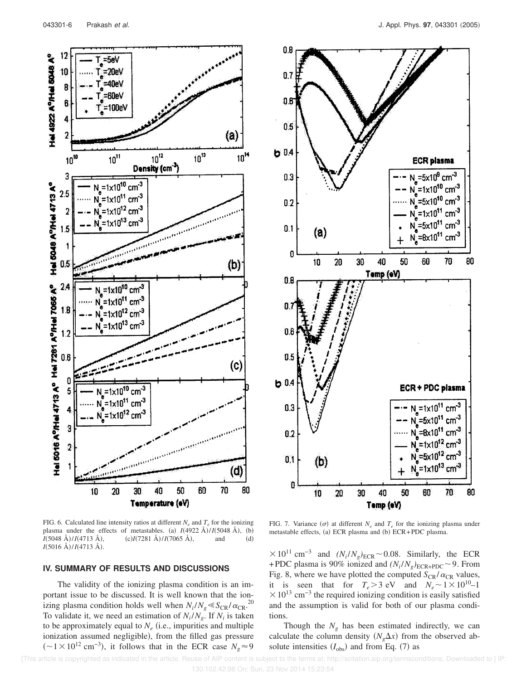Hel 4922 A<sup>9</sup>/Hel 5048 A<sup>9</sup>

Hel 5048 A<sup>9</sup>/Hel 4713 A<sup>9</sup>

Hei 6016 AP/Hei 4713 AP Hei 7281 AP/Hei 7086 AP

3

 $\overline{\bf 2}$ 





FIG. 6. Calculated line intensity ratios at different  $N_e$  and  $T_e$  for the ionizing plasma under the effects of metastables. (a)  $I(4922 \text{ Å})/I(5048 \text{ Å})$ , (b)  $I(5048 \text{ Å})/I(4713 \text{ Å})$ , (c)*I*(7281 Å)/*I*(7065 Å), and (d) *I*(5016 Å)/*I*(4713 Å).

40

Temperature (eV)

50

60

## **IV. SUMMARY OF RESULTS AND DISCUSSIONS**

30

 $20$ 

10

The validity of the ionizing plasma condition is an important issue to be discussed. It is well known that the ionizing plasma condition holds well when  $N_i/N_g \ll S_{CR}/\alpha_{CR}^{20}$ . To validate it, we need an estimation of  $N_i/N_g$ . If  $N_i$  is taken to be approximately equal to  $N_e$  (i.e., impurities and multiple ionization assumed negligible), from the filled gas pressure  $\left(\sim1\times10^{12} \text{ cm}^{-3}\right)$ , it follows that in the ECR case  $N_g$ ≈9

FIG. 7. Variance  $(\sigma)$  at different  $N_e$  and  $T_e$  for the ionizing plasma under metastable effects, (a) ECR plasma and (b) ECR+PDC plasma.

 $\times 10^{11}$  cm<sup>-3</sup> and  $(N_i/N_g)_{\text{ECR}}$  ~ 0.08. Similarly, the ECR +PDC plasma is 90% ionized and  $(N_i/N_g)_{\text{ECR+PDC}}$  ~ 9. From Fig. 8, where we have plotted the computed  $S_{CR}/\alpha_{CR}$  values, it is seen that for  $T_e > 3$  eV and  $N_e \sim 1 \times 10^{10} - 1$  $\times$ 10<sup>13</sup> cm<sup>-3</sup> the required ionizing condition is easily satisfied and the assumption is valid for both of our plasma conditions.

Though the  $N_g$  has been estimated indirectly, we can calculate the column density  $(N_g\Delta x)$  from the observed absolute intensities  $(I_{obs})$  and from Eq. (7) as

(d)

80

70